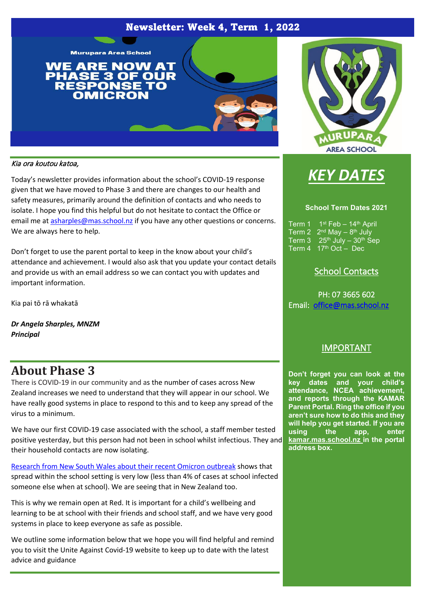## Newsletter: Week 4, Term 1, 2022





#### Kia ora koutou katoa,

Today's newsletter provides information about the school's COVID-19 response given that we have moved to Phase 3 and there are changes to our health and safety measures, primarily around the definition of contacts and who needs to isolate. I hope you find this helpful but do not hesitate to contact the Office or email me at [asharples@mas.school.nz](mailto:asharples@mas.school.nz) if you have any other questions or concerns. We are always here to help.

Don't forget to use the parent portal to keep in the know about your child's attendance and achievement. I would also ask that you update your contact details and provide us with an email address so we can contact you with updates and important information.

Kia pai tō rā whakatā

*Dr Angela Sharples, MNZM Principal*

## **About Phase 3**

There is COVID-19 in our community and as the number of cases across New Zealand increases we need to understand that they will appear in our school. We have really good systems in place to respond to this and to keep any spread of the virus to a minimum.

We have our first COVID-19 case associated with the school, a staff member tested positive yesterday, but this person had not been in school whilst infectious. They and their household contacts are now isolating.

[Research from New South Wales about their recent Omicron outbreak](https://www.ncirs.org.au/sites/default/files/2022-02/NCIRS_NSW_Schools_COVID_Summary_Term_4_2021_Report%20-%2018-02-2022_FINAL_1.pdf) shows that spread within the school setting is very low (less than 4% of cases at school infected someone else when at school). We are seeing that in New Zealand too.

This is why we remain open at Red. It is important for a child's wellbeing and learning to be at school with their friends and school staff, and we have very good systems in place to keep everyone as safe as possible.

We outline some information below that we hope you will find helpful and remind you to visit the Unite Against Covid-19 website to keep up to date with the latest advice and guidance



#### **School Term Dates 2021**

Term 1 1st Feb - 14th April Term 2  $2^{nd}$  May  $-8^{th}$  July Term  $3 \quad 25^{th}$  July -  $30^{th}$  Sep Term  $4 \cdot 17^{\text{th}}$  Oct - Dec

## School Contacts

PH: 07 3665 602 Email: [office@mas.school.nz](mailto:office@mas.school.nz) 

## IMPORTANT

**Don't forget you can look at the key dates and your child's attendance, NCEA achievement, and reports through the KAMAR Parent Portal. Ring the office if you aren't sure how to do this and they will help you get started. If you are using the app, enter kamar.mas.school.nz in the portal address box.**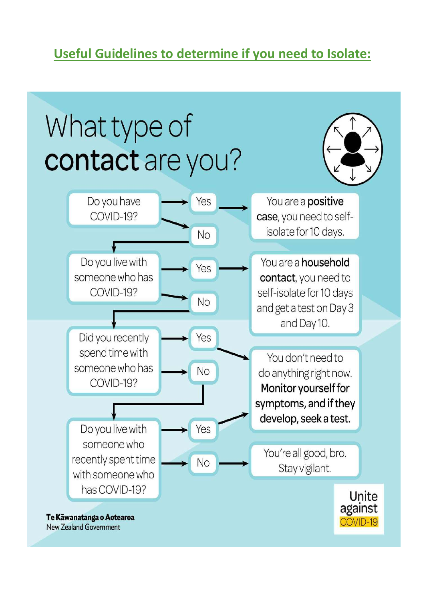# **Useful Guidelines to determine if you need to Isolate:**

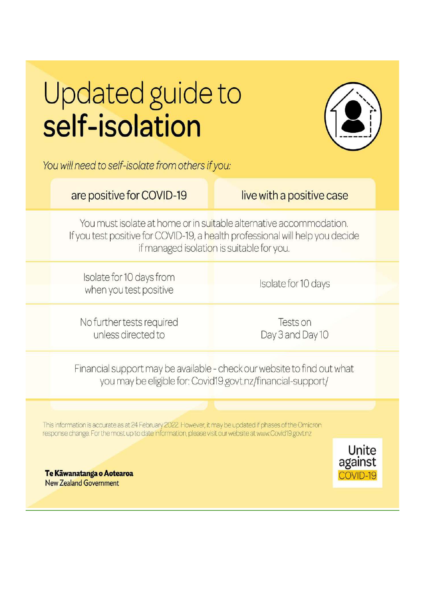# Updated guide to self-isolation



You will need to self-isolate from others if you:

## are positive for COVID-19

live with a positive case

You must isolate at home or in suitable alternative accommodation. If you test positive for COVID-19, a health professional will help you decide if managed isolation is suitable for you.

Isolate for 10 days from when you test positive

Isolate for 10 days

No further tests required unless directed to

Tests on Day 3 and Day 10

Financial support may be available - check our website to find out what you may be eligible for: Covid19.govt.nz/financial-support/

This information is accurate as at 24 February 2022. However, it may be updated if phases of the Omicron response change. For the most up to date information, please visit our website at www.Covid19.govt.nz



Te Kāwanatanga o Aotearoa **New Zealand Government**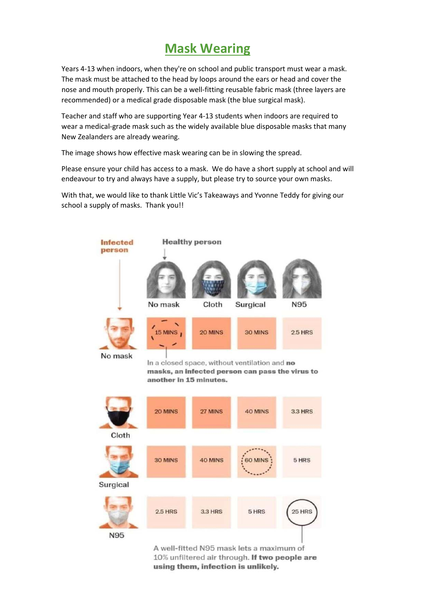## **Mask Wearing**

Years 4-13 when indoors, when they're on school and public transport must wear a mask. The mask must be attached to the head by loops around the ears or head and cover the nose and mouth properly. This can be a well-fitting reusable fabric mask (three layers are recommended) or a medical grade disposable mask (the blue surgical mask).

Teacher and staff who are supporting Year 4-13 students when indoors are required to wear a medical-grade mask such as the widely available blue disposable masks that many New Zealanders are already wearing.

The image shows how effective mask wearing can be in slowing the spread.

Please ensure your child has access to a mask. We do have a short supply at school and will endeavour to try and always have a supply, but please try to source your own masks.

With that, we would like to thank Little Vic's Takeaways and Yvonne Teddy for giving our school a supply of masks. Thank you!!



A well-fitted N95 mask lets a maximum of 10% unfiltered air through. If two people are using them, infection is unlikely.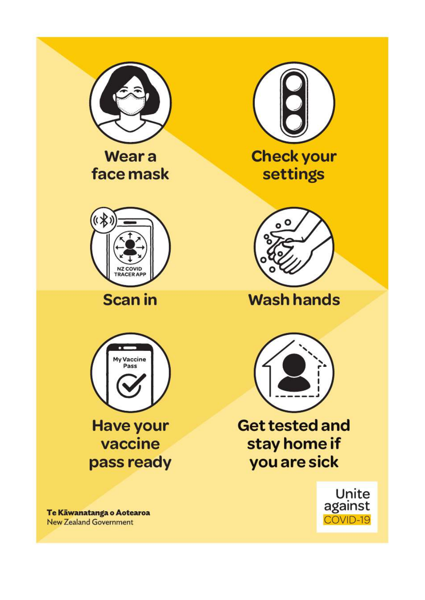

**Wear a** face mask



**Scan in** 



**Have your** vaccine pass ready

Te Kāwanatanga o Aotearoa **New Zealand Government** 





**Wash hands** 



**Get tested and** stay home if you are sick